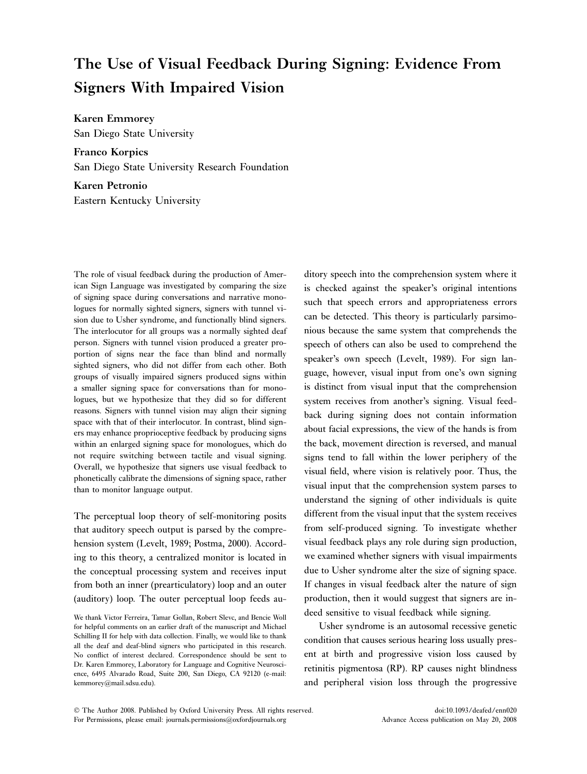# The Use of Visual Feedback During Signing: Evidence From Signers With Impaired Vision

Karen Emmorey San Diego State University

Franco Korpics San Diego State University Research Foundation

Karen Petronio Eastern Kentucky University

The role of visual feedback during the production of American Sign Language was investigated by comparing the size of signing space during conversations and narrative monologues for normally sighted signers, signers with tunnel vision due to Usher syndrome, and functionally blind signers. The interlocutor for all groups was a normally sighted deaf person. Signers with tunnel vision produced a greater proportion of signs near the face than blind and normally sighted signers, who did not differ from each other. Both groups of visually impaired signers produced signs within a smaller signing space for conversations than for monologues, but we hypothesize that they did so for different reasons. Signers with tunnel vision may align their signing space with that of their interlocutor. In contrast, blind signers may enhance proprioceptive feedback by producing signs within an enlarged signing space for monologues, which do not require switching between tactile and visual signing. Overall, we hypothesize that signers use visual feedback to phonetically calibrate the dimensions of signing space, rather than to monitor language output.

The perceptual loop theory of self-monitoring posits that auditory speech output is parsed by the comprehension system (Levelt, 1989; Postma, 2000). According to this theory, a centralized monitor is located in the conceptual processing system and receives input from both an inner (prearticulatory) loop and an outer (auditory) loop. The outer perceptual loop feeds au-

ditory speech into the comprehension system where it is checked against the speaker's original intentions such that speech errors and appropriateness errors can be detected. This theory is particularly parsimonious because the same system that comprehends the speech of others can also be used to comprehend the speaker's own speech (Levelt, 1989). For sign language, however, visual input from one's own signing is distinct from visual input that the comprehension system receives from another's signing. Visual feedback during signing does not contain information about facial expressions, the view of the hands is from the back, movement direction is reversed, and manual signs tend to fall within the lower periphery of the visual field, where vision is relatively poor. Thus, the visual input that the comprehension system parses to understand the signing of other individuals is quite different from the visual input that the system receives from self-produced signing. To investigate whether visual feedback plays any role during sign production, we examined whether signers with visual impairments due to Usher syndrome alter the size of signing space. If changes in visual feedback alter the nature of sign production, then it would suggest that signers are indeed sensitive to visual feedback while signing.

Usher syndrome is an autosomal recessive genetic condition that causes serious hearing loss usually present at birth and progressive vision loss caused by retinitis pigmentosa (RP). RP causes night blindness and peripheral vision loss through the progressive

We thank Victor Ferreira, Tamar Gollan, Robert Slevc, and Bencie Woll for helpful comments on an earlier draft of the manuscript and Michael Schilling II for help with data collection. Finally, we would like to thank all the deaf and deaf-blind signers who participated in this research. No conflict of interest declared. Correspondence should be sent to Dr. Karen Emmorey, Laboratory for Language and Cognitive Neuroscience, 6495 Alvarado Road, Suite 200, San Diego, CA 92120 (e-mail: kemmorey@mail.sdsu.edu).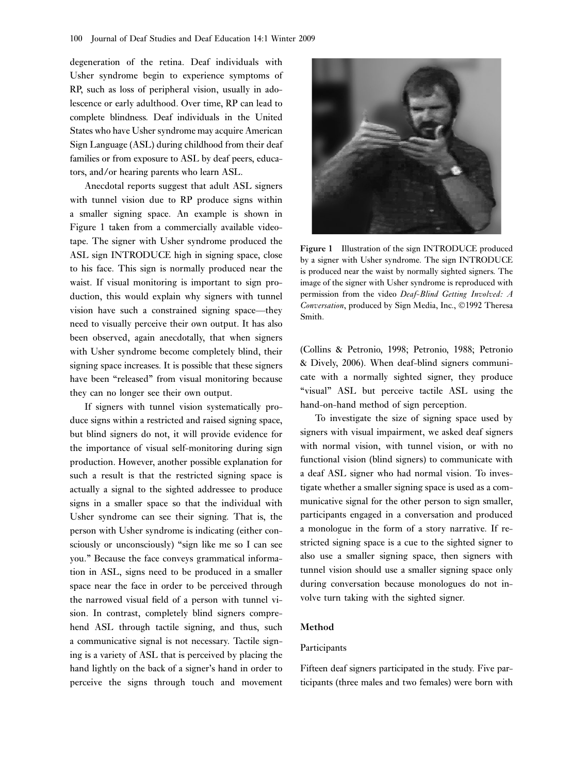degeneration of the retina. Deaf individuals with Usher syndrome begin to experience symptoms of RP, such as loss of peripheral vision, usually in adolescence or early adulthood. Over time, RP can lead to complete blindness. Deaf individuals in the United States who have Usher syndrome may acquire American Sign Language (ASL) during childhood from their deaf families or from exposure to ASL by deaf peers, educators, and/or hearing parents who learn ASL.

Anecdotal reports suggest that adult ASL signers with tunnel vision due to RP produce signs within a smaller signing space. An example is shown in Figure 1 taken from a commercially available videotape. The signer with Usher syndrome produced the ASL sign INTRODUCE high in signing space, close to his face. This sign is normally produced near the waist. If visual monitoring is important to sign production, this would explain why signers with tunnel vision have such a constrained signing space—they need to visually perceive their own output. It has also been observed, again anecdotally, that when signers with Usher syndrome become completely blind, their signing space increases. It is possible that these signers have been "released" from visual monitoring because they can no longer see their own output.

If signers with tunnel vision systematically produce signs within a restricted and raised signing space, but blind signers do not, it will provide evidence for the importance of visual self-monitoring during sign production. However, another possible explanation for such a result is that the restricted signing space is actually a signal to the sighted addressee to produce signs in a smaller space so that the individual with Usher syndrome can see their signing. That is, the person with Usher syndrome is indicating (either consciously or unconsciously) "sign like me so I can see you.'' Because the face conveys grammatical information in ASL, signs need to be produced in a smaller space near the face in order to be perceived through the narrowed visual field of a person with tunnel vision. In contrast, completely blind signers comprehend ASL through tactile signing, and thus, such a communicative signal is not necessary. Tactile signing is a variety of ASL that is perceived by placing the hand lightly on the back of a signer's hand in order to perceive the signs through touch and movement



Figure 1 Illustration of the sign INTRODUCE produced by a signer with Usher syndrome. The sign INTRODUCE is produced near the waist by normally sighted signers. The image of the signer with Usher syndrome is reproduced with permission from the video Deaf-Blind Getting Involved: A Conversation, produced by Sign Media, Inc., ©1992 Theresa Smith.

(Collins & Petronio, 1998; Petronio, 1988; Petronio & Dively, 2006). When deaf-blind signers communicate with a normally sighted signer, they produce "visual" ASL but perceive tactile ASL using the hand-on-hand method of sign perception.

To investigate the size of signing space used by signers with visual impairment, we asked deaf signers with normal vision, with tunnel vision, or with no functional vision (blind signers) to communicate with a deaf ASL signer who had normal vision. To investigate whether a smaller signing space is used as a communicative signal for the other person to sign smaller, participants engaged in a conversation and produced a monologue in the form of a story narrative. If restricted signing space is a cue to the sighted signer to also use a smaller signing space, then signers with tunnel vision should use a smaller signing space only during conversation because monologues do not involve turn taking with the sighted signer.

### Method

#### Participants

Fifteen deaf signers participated in the study. Five participants (three males and two females) were born with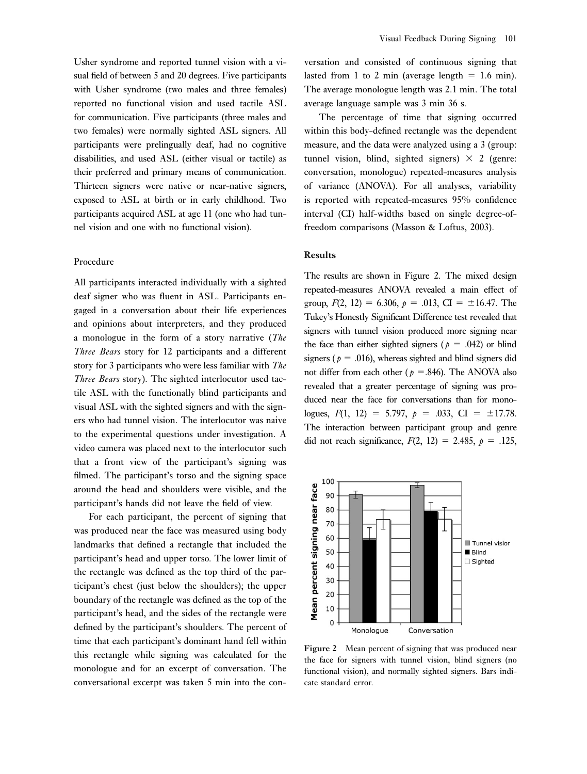Usher syndrome and reported tunnel vision with a visual field of between 5 and 20 degrees. Five participants with Usher syndrome (two males and three females) reported no functional vision and used tactile ASL for communication. Five participants (three males and two females) were normally sighted ASL signers. All participants were prelingually deaf, had no cognitive disabilities, and used ASL (either visual or tactile) as their preferred and primary means of communication. Thirteen signers were native or near-native signers, exposed to ASL at birth or in early childhood. Two participants acquired ASL at age 11 (one who had tunnel vision and one with no functional vision).

#### Procedure

All participants interacted individually with a sighted deaf signer who was fluent in ASL. Participants engaged in a conversation about their life experiences and opinions about interpreters, and they produced a monologue in the form of a story narrative (The Three Bears story for 12 participants and a different story for 3 participants who were less familiar with The Three Bears story). The sighted interlocutor used tactile ASL with the functionally blind participants and visual ASL with the sighted signers and with the signers who had tunnel vision. The interlocutor was naive to the experimental questions under investigation. A video camera was placed next to the interlocutor such that a front view of the participant's signing was filmed. The participant's torso and the signing space around the head and shoulders were visible, and the participant's hands did not leave the field of view.

For each participant, the percent of signing that was produced near the face was measured using body landmarks that defined a rectangle that included the participant's head and upper torso. The lower limit of the rectangle was defined as the top third of the participant's chest (just below the shoulders); the upper boundary of the rectangle was defined as the top of the participant's head, and the sides of the rectangle were defined by the participant's shoulders. The percent of time that each participant's dominant hand fell within this rectangle while signing was calculated for the monologue and for an excerpt of conversation. The conversational excerpt was taken 5 min into the con-

versation and consisted of continuous signing that lasted from 1 to 2 min (average length  $= 1.6$  min). The average monologue length was 2.1 min. The total average language sample was 3 min 36 s.

The percentage of time that signing occurred within this body-defined rectangle was the dependent measure, and the data were analyzed using a 3 (group: tunnel vision, blind, sighted signers)  $\times$  2 (genre: conversation, monologue) repeated-measures analysis of variance (ANOVA). For all analyses, variability is reported with repeated-measures 95% confidence interval (CI) half-widths based on single degree-offreedom comparisons (Masson & Loftus, 2003).

#### Results

The results are shown in Figure 2. The mixed design repeated-measures ANOVA revealed a main effect of group,  $F(2, 12) = 6.306$ ,  $p = .013$ , CI =  $\pm 16.47$ . The Tukey's Honestly Significant Difference test revealed that signers with tunnel vision produced more signing near the face than either sighted signers ( $p = .042$ ) or blind signers ( $p = .016$ ), whereas sighted and blind signers did not differ from each other ( $p = .846$ ). The ANOVA also revealed that a greater percentage of signing was produced near the face for conversations than for monologues,  $F(1, 12) = 5.797$ ,  $p = .033$ , CI =  $\pm 17.78$ . The interaction between participant group and genre did not reach significance,  $F(2, 12) = 2.485$ ,  $p = .125$ ,



Figure 2 Mean percent of signing that was produced near the face for signers with tunnel vision, blind signers (no functional vision), and normally sighted signers. Bars indicate standard error.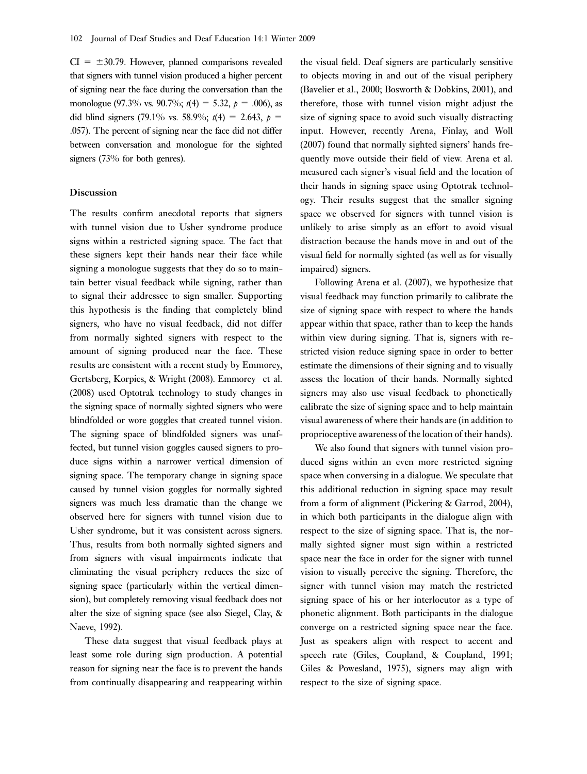$CI = \pm 30.79$ . However, planned comparisons revealed that signers with tunnel vision produced a higher percent of signing near the face during the conversation than the monologue (97.3% vs. 90.7%;  $t(4) = 5.32$ ,  $p = .006$ ), as did blind signers (79.1% vs. 58.9%;  $t(4) = 2.643$ ,  $p =$ .057). The percent of signing near the face did not differ between conversation and monologue for the sighted signers (73% for both genres).

#### Discussion

The results confirm anecdotal reports that signers with tunnel vision due to Usher syndrome produce signs within a restricted signing space. The fact that these signers kept their hands near their face while signing a monologue suggests that they do so to maintain better visual feedback while signing, rather than to signal their addressee to sign smaller. Supporting this hypothesis is the finding that completely blind signers, who have no visual feedback, did not differ from normally sighted signers with respect to the amount of signing produced near the face. These results are consistent with a recent study by Emmorey, Gertsberg, Korpics, & Wright (2008). Emmorey et al. (2008) used Optotrak technology to study changes in the signing space of normally sighted signers who were blindfolded or wore goggles that created tunnel vision. The signing space of blindfolded signers was unaffected, but tunnel vision goggles caused signers to produce signs within a narrower vertical dimension of signing space. The temporary change in signing space caused by tunnel vision goggles for normally sighted signers was much less dramatic than the change we observed here for signers with tunnel vision due to Usher syndrome, but it was consistent across signers. Thus, results from both normally sighted signers and from signers with visual impairments indicate that eliminating the visual periphery reduces the size of signing space (particularly within the vertical dimension), but completely removing visual feedback does not alter the size of signing space (see also Siegel, Clay, & Naeve, 1992).

These data suggest that visual feedback plays at least some role during sign production. A potential reason for signing near the face is to prevent the hands from continually disappearing and reappearing within the visual field. Deaf signers are particularly sensitive to objects moving in and out of the visual periphery (Bavelier et al., 2000; Bosworth & Dobkins, 2001), and therefore, those with tunnel vision might adjust the size of signing space to avoid such visually distracting input. However, recently Arena, Finlay, and Woll (2007) found that normally sighted signers' hands frequently move outside their field of view. Arena et al. measured each signer's visual field and the location of their hands in signing space using Optotrak technology. Their results suggest that the smaller signing space we observed for signers with tunnel vision is unlikely to arise simply as an effort to avoid visual distraction because the hands move in and out of the visual field for normally sighted (as well as for visually impaired) signers.

Following Arena et al. (2007), we hypothesize that visual feedback may function primarily to calibrate the size of signing space with respect to where the hands appear within that space, rather than to keep the hands within view during signing. That is, signers with restricted vision reduce signing space in order to better estimate the dimensions of their signing and to visually assess the location of their hands. Normally sighted signers may also use visual feedback to phonetically calibrate the size of signing space and to help maintain visual awareness of where their hands are (in addition to proprioceptive awareness of the location of their hands).

We also found that signers with tunnel vision produced signs within an even more restricted signing space when conversing in a dialogue. We speculate that this additional reduction in signing space may result from a form of alignment (Pickering & Garrod, 2004), in which both participants in the dialogue align with respect to the size of signing space. That is, the normally sighted signer must sign within a restricted space near the face in order for the signer with tunnel vision to visually perceive the signing. Therefore, the signer with tunnel vision may match the restricted signing space of his or her interlocutor as a type of phonetic alignment. Both participants in the dialogue converge on a restricted signing space near the face. Just as speakers align with respect to accent and speech rate (Giles, Coupland, & Coupland, 1991; Giles & Powesland, 1975), signers may align with respect to the size of signing space.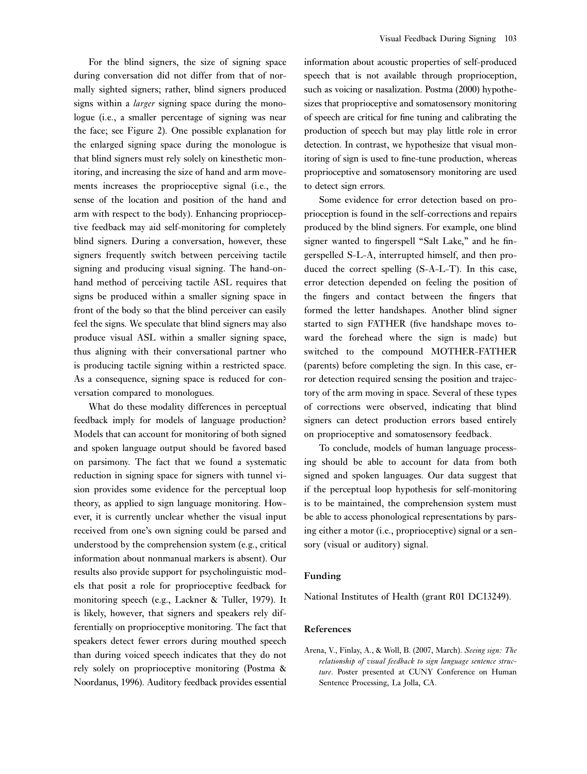For the blind signers, the size of signing space during conversation did not differ from that of normally sighted signers; rather, blind signers produced signs within a *larger* signing space during the monologue (i.e., a smaller percentage of signing was near the face; see Figure 2). One possible explanation for the enlarged signing space during the monologue is that blind signers must rely solely on kinesthetic monitoring, and increasing the size of hand and arm movements increases the proprioceptive signal (i.e., the sense of the location and position of the hand and arm with respect to the body). Enhancing proprioceptive feedback may aid self-monitoring for completely blind signers. During a conversation, however, these signers frequently switch between perceiving tactile signing and producing visual signing. The hand-onhand method of perceiving tactile ASL requires that signs be produced within a smaller signing space in front of the body so that the blind perceiver can easily feel the signs. We speculate that blind signers may also produce visual ASL within a smaller signing space, thus aligning with their conversational partner who is producing tactile signing within a restricted space. As a consequence, signing space is reduced for conversation compared to monologues.

What do these modality differences in perceptual feedback imply for models of language production? Models that can account for monitoring of both signed and spoken language output should be favored based on parsimony. The fact that we found a systematic reduction in signing space for signers with tunnel vision provides some evidence for the perceptual loop theory, as applied to sign language monitoring. However, it is currently unclear whether the visual input received from one's own signing could be parsed and understood by the comprehension system (e.g., critical information about nonmanual markers is absent). Our results also provide support for psycholinguistic models that posit a role for proprioceptive feedback for monitoring speech (e.g., Lackner & Tuller, 1979). It is likely, however, that signers and speakers rely differentially on proprioceptive monitoring. The fact that speakers detect fewer errors during mouthed speech than during voiced speech indicates that they do not rely solely on proprioceptive monitoring (Postma & Noordanus, 1996). Auditory feedback provides essential information about acoustic properties of self-produced speech that is not available through proprioception, such as voicing or nasalization. Postma (2000) hypothesizes that proprioceptive and somatosensory monitoring of speech are critical for fine tuning and calibrating the production of speech but may play little role in error detection. In contrast, we hypothesize that visual monitoring of sign is used to fine-tune production, whereas proprioceptive and somatosensory monitoring are used to detect sign errors.

Some evidence for error detection based on proprioception is found in the self-corrections and repairs produced by the blind signers. For example, one blind signer wanted to fingerspell "Salt Lake," and he fingerspelled S-L-A, interrupted himself, and then produced the correct spelling (S-A-L-T). In this case, error detection depended on feeling the position of the fingers and contact between the fingers that formed the letter handshapes. Another blind signer started to sign FATHER (five handshape moves toward the forehead where the sign is made) but switched to the compound MOTHER-FATHER (parents) before completing the sign. In this case, error detection required sensing the position and trajectory of the arm moving in space. Several of these types of corrections were observed, indicating that blind signers can detect production errors based entirely on proprioceptive and somatosensory feedback.

To conclude, models of human language processing should be able to account for data from both signed and spoken languages. Our data suggest that if the perceptual loop hypothesis for self-monitoring is to be maintained, the comprehension system must be able to access phonological representations by parsing either a motor (i.e., proprioceptive) signal or a sensory (visual or auditory) signal.

## Funding

National Institutes of Health (grant R01 DC13249).

#### References

Arena, V., Finlay, A., & Woll, B. (2007, March). Seeing sign: The relationship of visual feedback to sign language sentence structure. Poster presented at CUNY Conference on Human Sentence Processing, La Jolla, CA.